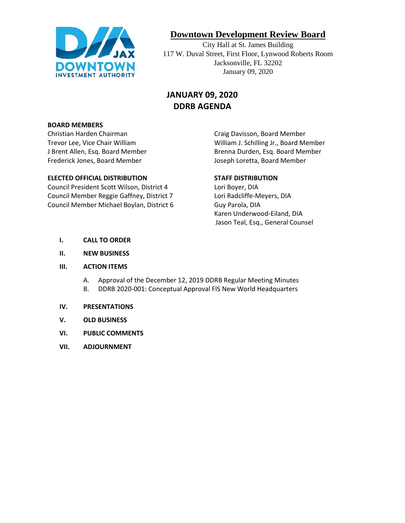

# **Downtown Development Review Board**

City Hall at St. James Building 117 W. Duval Street, First Floor, Lynwood Roberts Room Jacksonville, FL 32202 January 09, 2020

# **JANUARY 09, 2020 DDRB AGENDA**

#### **BOARD MEMBERS**

Christian Harden Chairman Craig Davisson, Board Member Frederick Jones, Board Member **Joseph Loretta, Board Member** Joseph Loretta, Board Member

#### **ELECTED OFFICIAL DISTRIBUTION STAFF DISTRIBUTION**

Council President Scott Wilson, District 4 Lori Boyer, DIA Council Member Reggie Gaffney, District 7 Lori Radcliffe-Meyers, DIA Council Member Michael Boylan, District 6 Guy Parola, DIA

Trevor Lee, Vice Chair William William J. Schilling Jr., Board Member J Brent Allen, Esq. Board Member **Brenna Durden, Esq. Board Member** 

Karen Underwood-Eiland, DIA Jason Teal, Esq., General Counsel

- **I. CALL TO ORDER**
- **II. NEW BUSINESS**
- **III. ACTION ITEMS**
	- A. Approval of the December 12, 2019 DDRB Regular Meeting Minutes
	- B. DDRB 2020-001: Conceptual Approval FIS New World Headquarters

#### **IV. PRESENTATIONS**

- **V. OLD BUSINESS**
- **VI. PUBLIC COMMENTS**
- **VII. ADJOURNMENT**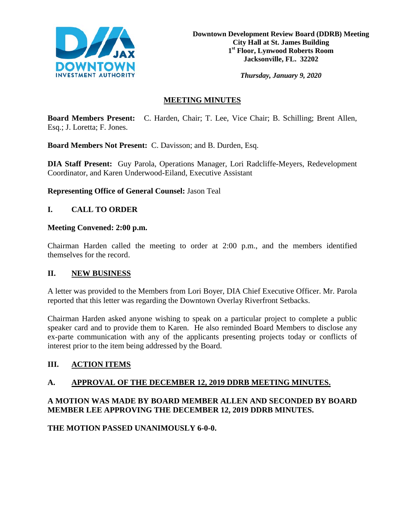

*Thursday, January 9, 2020*

## **MEETING MINUTES**

**Board Members Present:** C. Harden, Chair; T. Lee, Vice Chair; B. Schilling; Brent Allen, Esq.; J. Loretta; F. Jones.

**Board Members Not Present:** C. Davisson; and B. Durden, Esq.

**DIA Staff Present:** Guy Parola, Operations Manager, Lori Radcliffe-Meyers, Redevelopment Coordinator, and Karen Underwood-Eiland, Executive Assistant

**Representing Office of General Counsel:** Jason Teal

### **I. CALL TO ORDER**

#### **Meeting Convened: 2:00 p.m.**

Chairman Harden called the meeting to order at 2:00 p.m., and the members identified themselves for the record.

#### **II. NEW BUSINESS**

A letter was provided to the Members from Lori Boyer, DIA Chief Executive Officer. Mr. Parola reported that this letter was regarding the Downtown Overlay Riverfront Setbacks.

Chairman Harden asked anyone wishing to speak on a particular project to complete a public speaker card and to provide them to Karen. He also reminded Board Members to disclose any ex-parte communication with any of the applicants presenting projects today or conflicts of interest prior to the item being addressed by the Board.

### **III. ACTION ITEMS**

### **A. APPROVAL OF THE DECEMBER 12, 2019 DDRB MEETING MINUTES.**

## **A MOTION WAS MADE BY BOARD MEMBER ALLEN AND SECONDED BY BOARD MEMBER LEE APPROVING THE DECEMBER 12, 2019 DDRB MINUTES.**

**THE MOTION PASSED UNANIMOUSLY 6-0-0.**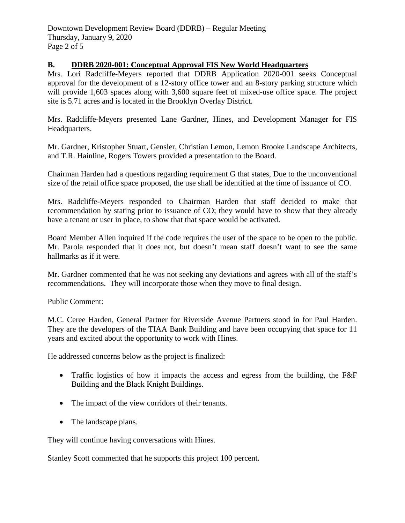#### **B. DDRB 2020-001: Conceptual Approval FIS New World Headquarters**

Mrs. Lori Radcliffe-Meyers reported that DDRB Application 2020-001 seeks Conceptual approval for the development of a 12-story office tower and an 8-story parking structure which will provide 1,603 spaces along with 3,600 square feet of mixed-use office space. The project site is 5.71 acres and is located in the Brooklyn Overlay District.

Mrs. Radcliffe-Meyers presented Lane Gardner, Hines, and Development Manager for FIS Headquarters.

Mr. Gardner, Kristopher Stuart, Gensler, Christian Lemon, Lemon Brooke Landscape Architects, and T.R. Hainline, Rogers Towers provided a presentation to the Board.

Chairman Harden had a questions regarding requirement G that states, Due to the unconventional size of the retail office space proposed, the use shall be identified at the time of issuance of CO.

Mrs. Radcliffe-Meyers responded to Chairman Harden that staff decided to make that recommendation by stating prior to issuance of CO; they would have to show that they already have a tenant or user in place, to show that that space would be activated.

Board Member Allen inquired if the code requires the user of the space to be open to the public. Mr. Parola responded that it does not, but doesn't mean staff doesn't want to see the same hallmarks as if it were.

Mr. Gardner commented that he was not seeking any deviations and agrees with all of the staff's recommendations. They will incorporate those when they move to final design.

Public Comment:

M.C. Ceree Harden, General Partner for Riverside Avenue Partners stood in for Paul Harden. They are the developers of the TIAA Bank Building and have been occupying that space for 11 years and excited about the opportunity to work with Hines.

He addressed concerns below as the project is finalized:

- Traffic logistics of how it impacts the access and egress from the building, the F&F Building and the Black Knight Buildings.
- The impact of the view corridors of their tenants.
- The landscape plans.

They will continue having conversations with Hines.

Stanley Scott commented that he supports this project 100 percent.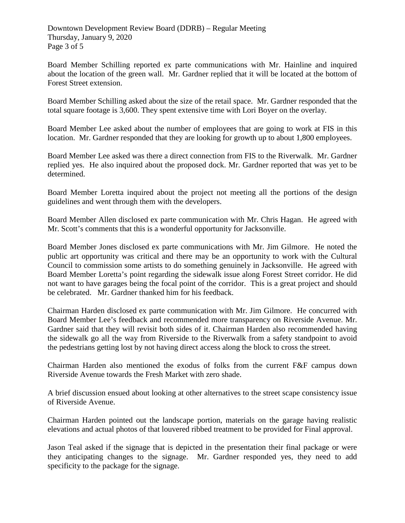Board Member Schilling reported ex parte communications with Mr. Hainline and inquired about the location of the green wall. Mr. Gardner replied that it will be located at the bottom of Forest Street extension.

Board Member Schilling asked about the size of the retail space. Mr. Gardner responded that the total square footage is 3,600. They spent extensive time with Lori Boyer on the overlay.

Board Member Lee asked about the number of employees that are going to work at FIS in this location. Mr. Gardner responded that they are looking for growth up to about 1,800 employees.

Board Member Lee asked was there a direct connection from FIS to the Riverwalk. Mr. Gardner replied yes. He also inquired about the proposed dock. Mr. Gardner reported that was yet to be determined.

Board Member Loretta inquired about the project not meeting all the portions of the design guidelines and went through them with the developers.

Board Member Allen disclosed ex parte communication with Mr. Chris Hagan. He agreed with Mr. Scott's comments that this is a wonderful opportunity for Jacksonville.

Board Member Jones disclosed ex parte communications with Mr. Jim Gilmore. He noted the public art opportunity was critical and there may be an opportunity to work with the Cultural Council to commission some artists to do something genuinely in Jacksonville. He agreed with Board Member Loretta's point regarding the sidewalk issue along Forest Street corridor. He did not want to have garages being the focal point of the corridor. This is a great project and should be celebrated. Mr. Gardner thanked him for his feedback.

Chairman Harden disclosed ex parte communication with Mr. Jim Gilmore. He concurred with Board Member Lee's feedback and recommended more transparency on Riverside Avenue. Mr. Gardner said that they will revisit both sides of it. Chairman Harden also recommended having the sidewalk go all the way from Riverside to the Riverwalk from a safety standpoint to avoid the pedestrians getting lost by not having direct access along the block to cross the street.

Chairman Harden also mentioned the exodus of folks from the current F&F campus down Riverside Avenue towards the Fresh Market with zero shade.

A brief discussion ensued about looking at other alternatives to the street scape consistency issue of Riverside Avenue.

Chairman Harden pointed out the landscape portion, materials on the garage having realistic elevations and actual photos of that louvered ribbed treatment to be provided for Final approval.

Jason Teal asked if the signage that is depicted in the presentation their final package or were they anticipating changes to the signage. Mr. Gardner responded yes, they need to add specificity to the package for the signage.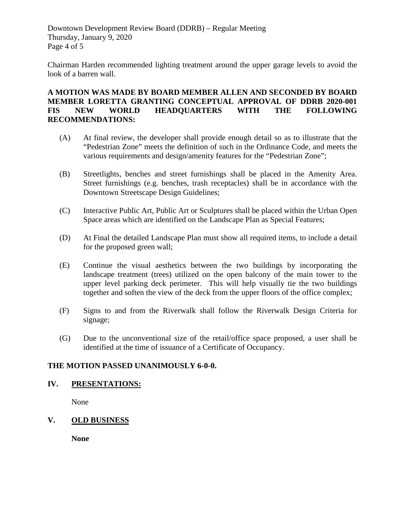Downtown Development Review Board (DDRB) – Regular Meeting Thursday, January 9, 2020 Page 4 of 5

Chairman Harden recommended lighting treatment around the upper garage levels to avoid the look of a barren wall.

#### **A MOTION WAS MADE BY BOARD MEMBER ALLEN AND SECONDED BY BOARD MEMBER LORETTA GRANTING CONCEPTUAL APPROVAL OF DDRB 2020-001 FIS NEW WORLD HEADQUARTERS WITH THE FOLLOWING RECOMMENDATIONS:**

- (A) At final review, the developer shall provide enough detail so as to illustrate that the "Pedestrian Zone" meets the definition of such in the Ordinance Code, and meets the various requirements and design/amenity features for the "Pedestrian Zone";
- (B) Streetlights, benches and street furnishings shall be placed in the Amenity Area. Street furnishings (e.g. benches, trash receptacles) shall be in accordance with the Downtown Streetscape Design Guidelines;
- (C) Interactive Public Art, Public Art or Sculptures shall be placed within the Urban Open Space areas which are identified on the Landscape Plan as Special Features;
- (D) At Final the detailed Landscape Plan must show all required items, to include a detail for the proposed green wall;
- (E) Continue the visual aesthetics between the two buildings by incorporating the landscape treatment (trees) utilized on the open balcony of the main tower to the upper level parking deck perimeter. This will help visually tie the two buildings together and soften the view of the deck from the upper floors of the office complex;
- (F) Signs to and from the Riverwalk shall follow the Riverwalk Design Criteria for signage;
- (G) Due to the unconventional size of the retail/office space proposed, a user shall be identified at the time of issuance of a Certificate of Occupancy.

### **THE MOTION PASSED UNANIMOUSLY 6-0-0.**

### **IV. PRESENTATIONS:**

None

### **V. OLD BUSINESS**

**None**